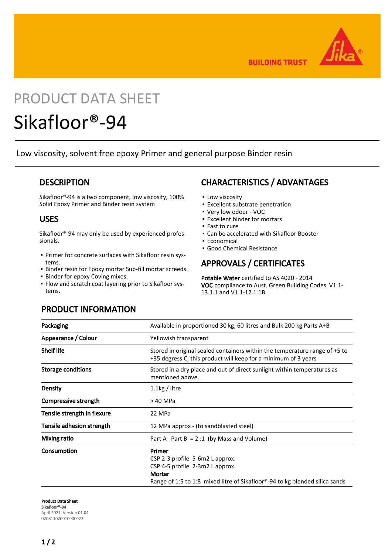

**BUILDING TRUST** 

# PRODUCT DATA SHEET

# Sikafloor®-94

Low viscosity, solvent free epoxy Primer and general purpose Binder resin

## **DESCRIPTION**

Sikafloor®-94 is a two component, low viscosity, 100% Solid Epoxy Primer and Binder resin system

## USES

Sikafloor®-94 may only be used by experienced professionals.

- Primer for concrete surfaces with Sikafloor resin sys-▪ tems.
- Binder resin for Epoxy mortar Sub-fill mortar screeds.
- **·** Binder for epoxy Coving mixes.
- **Flow and scratch coat layering prior to Sikafloor sys**tems.

# CHARACTERISTICS / ADVANTAGES

- **.** Low viscosity
- **Excellent substrate penetration**
- Very low odour VOC
- Excellent binder for mortars
- Fast to cure
- Can be accelerated with Sikafloor Booster
- Economical
- Good Chemical Resistance

## APPROVALS / CERTIFICATES

Potable Water certified to AS 4020 - 2014 VOC compliance to Aust. Green Building Codes V1.1- 13.1.1 and V1.1-12.1.1B

## PRODUCT INFORMATION

| Packaging                   | Available in proportioned 30 kg, 60 litres and Bulk 200 kg Parts A+B                                                                                                               |
|-----------------------------|------------------------------------------------------------------------------------------------------------------------------------------------------------------------------------|
| Appearance / Colour         | Yellowish transparent                                                                                                                                                              |
| <b>Shelf life</b>           | Stored in original sealed containers within the temperature range of +5 to<br>+35 degress C, this product will keep for a minimum of 3 years                                       |
| <b>Storage conditions</b>   | Stored in a dry place and out of direct sunlight within temperatures as<br>mentioned above.                                                                                        |
| <b>Density</b>              | $1.1$ kg / litre                                                                                                                                                                   |
| Compressive strength        | > 40 MPa                                                                                                                                                                           |
| Tensile strength in flexure | 22 MPa                                                                                                                                                                             |
| Tensile adhesion strength   | 12 MPa approx - (to sandblasted steel)                                                                                                                                             |
| <b>Mixing ratio</b>         | Part A Part B = $2:1$ (by Mass and Volume)                                                                                                                                         |
| Consumption                 | Primer<br>CSP 2-3 profile 5-6m2 L approx.<br>CSP 4-5 profile 2-3m2 L approx.<br>Mortar<br>Range of 1:5 to 1:8 mixed litre of Sikafloor <sup>®</sup> -94 to kg blended silica sands |

Product Data Sheet Sikafloor®-94 April 2021, Version 01.04 020811020010000023